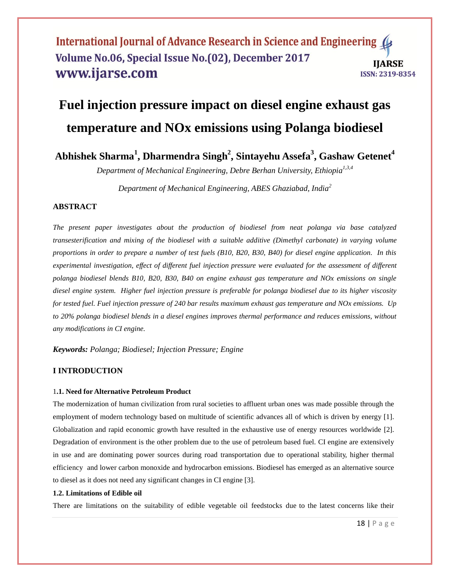# **Fuel injection pressure impact on diesel engine exhaust gas temperature and NOx emissions using Polanga biodiesel**

## **Abhishek Sharma<sup>1</sup> , Dharmendra Singh<sup>2</sup> , Sintayehu Assefa<sup>3</sup> , Gashaw Getenet<sup>4</sup>**

*Department of Mechanical Engineering, Debre Berhan University, Ethiopia 1,3,4*

*Department of Mechanical Engineering, ABES Ghaziabad, India<sup>2</sup>*

## **ABSTRACT**

*The present paper investigates about the production of biodiesel from neat polanga via base catalyzed transesterification and mixing of the biodiesel with a suitable additive (Dimethyl carbonate) in varying volume proportions in order to prepare a number of test fuels (B10, B20, B30, B40) for diesel engine application. In this experimental investigation, effect of different fuel injection pressure were evaluated for the assessment of different polanga biodiesel blends B10, B20, B30, B40 on engine exhaust gas temperature and NOx emissions on single diesel engine system. Higher fuel injection pressure is preferable for polanga biodiesel due to its higher viscosity for tested fuel. Fuel injection pressure of 240 bar results maximum exhaust gas temperature and NOx emissions. Up to 20% polanga biodiesel blends in a diesel engines improves thermal performance and reduces emissions, without any modifications in CI engine.*

*Keywords: Polanga; Biodiesel; Injection Pressure; Engine*

## **I INTRODUCTION**

## 1**.1. Need for Alternative Petroleum Product**

The modernization of human civilization from rural societies to affluent urban ones was made possible through the employment of modern technology based on multitude of scientific advances all of which is driven by energy [1]. Globalization and rapid economic growth have resulted in the exhaustive use of energy resources worldwide [2]. Degradation of environment is the other problem due to the use of petroleum based fuel. CI engine are extensively in use and are dominating power sources during road transportation due to operational stability, higher thermal efficiency and lower carbon monoxide and hydrocarbon emissions. Biodiesel has emerged as an alternative source to diesel as it does not need any significant changes in CI engine [3].

#### **1.2. Limitations of Edible oil**

There are limitations on the suitability of edible vegetable oil feedstocks due to the latest concerns like their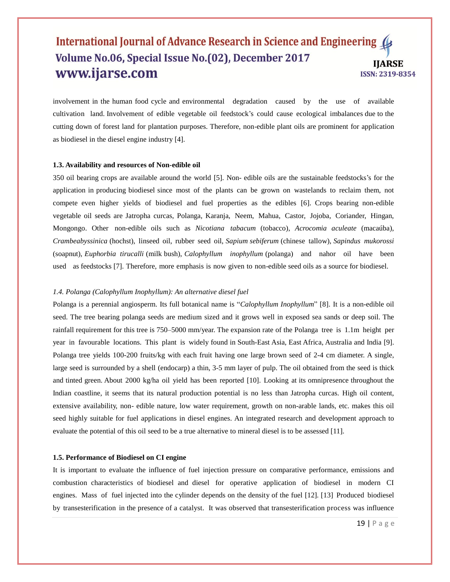involvement in the human food cycle and environmental degradation caused by the use of available cultivation land. Involvement of edible vegetable oil feedstock's could cause ecological imbalances due to the cutting down of forest land for plantation purposes. Therefore, non-edible plant oils are prominent for application as biodiesel in the diesel engine industry [4].

#### **1.3. Availability and resources of Non-edible oil**

350 oil bearing crops are available around the world [5]. Non- edible oils are the sustainable feedstocks's for the application in producing biodiesel since most of the plants can be grown on wastelands to reclaim them, not compete even higher yields of biodiesel and fuel properties as the edibles [6]. Crops bearing non-edible vegetable oil seeds are Jatropha curcas, Polanga, Karanja, Neem, Mahua, Castor, Jojoba, Coriander, Hingan, Mongongo. Other non-edible oils such as *Nicotiana tabacum* (tobacco), *Acrocomia aculeate* (macaúba), *Crambeabyssinica* (hochst), linseed oil, rubber seed oil, *Sapium sebiferum* (chinese tallow), *Sapindus mukorossi* (soapnut), *Euphorbia tirucalli* (milk bush), *Calophyllum inophyllum* (polanga) and nahor oil have been used as feedstocks [7]. Therefore, more emphasis is now given to non-edible seed oils as a source for biodiesel.

#### *1.4. Polanga (Calophyllum Inophyllum): An alternative diesel fuel*

Polanga is a perennial angiosperm. Its full botanical name is "*Calophyllum Inophyllum*" [8]. It is a non-edible oil seed. The tree bearing polanga seeds are medium sized and it grows well in exposed sea sands or deep soil. The rainfall requirement for this tree is 750–5000 mm/year. The expansion rate of the Polanga tree is 1.1m height per year in favourable locations. This plant is widely found in South-East Asia, East Africa, Australia and India [9]. Polanga tree yields 100-200 fruits/kg with each fruit having one large brown seed of 2-4 cm diameter. A single, large seed is surrounded by a shell (endocarp) a thin, 3-5 mm layer of pulp. The oil obtained from the seed is thick and tinted green. About 2000 kg/ha oil yield has been reported [10]. Looking at its omnipresence throughout the Indian coastline, it seems that its natural production potential is no less than Jatropha curcas. High oil content, extensive availability, non- edible nature, low water requirement, growth on non-arable lands, etc. makes this oil seed highly suitable for fuel applications in diesel engines. An integrated research and development approach to evaluate the potential of this oil seed to be a true alternative to mineral diesel is to be assessed [11].

#### **1.5. Performance of Biodiesel on CI engine**

It is important to evaluate the influence of fuel injection pressure on comparative performance, emissions and combustion characteristics of biodiesel and diesel for operative application of biodiesel in modern CI engines. Mass of fuel injected into the cylinder depends on the density of the fuel [12]. [13] Produced biodiesel by transesterification in the presence of a catalyst. It was observed that transesterification process was influence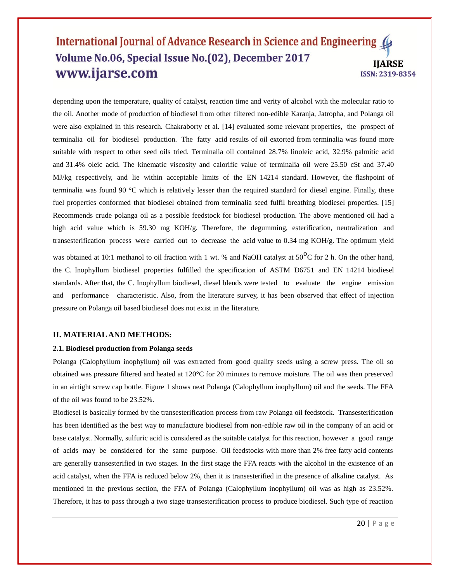depending upon the temperature, quality of catalyst, reaction time and verity of alcohol with the molecular ratio to the oil. Another mode of production of biodiesel from other filtered non-edible Karanja, Jatropha, and Polanga oil were also explained in this research. Chakraborty et al. [14] evaluated some relevant properties, the prospect of terminalia oil for biodiesel production. The fatty acid results of oil extorted from terminalia was found more suitable with respect to other seed oils tried. Terminalia oil contained 28.7% linoleic acid, 32.9% palmitic acid and 31.4% oleic acid. The kinematic viscosity and calorific value of terminalia oil were 25.50 cSt and 37.40 MJ/kg respectively, and lie within acceptable limits of the EN 14214 standard. However, the flashpoint of terminalia was found 90 °C which is relatively lesser than the required standard for diesel engine. Finally, these fuel properties conformed that biodiesel obtained from terminalia seed fulfil breathing biodiesel properties. [15] Recommends crude polanga oil as a possible feedstock for biodiesel production. The above mentioned oil had a high acid value which is 59.30 mg KOH/g. Therefore, the degumming, esterification, neutralization and transesterification process were carried out to decrease the acid value to 0.34 mg KOH/g. The optimum yield was obtained at 10:1 methanol to oil fraction with 1 wt. % and NaOH catalyst at  $50^{\circ}$ C for 2 h. On the other hand, the C. Inophyllum biodiesel properties fulfilled the specification of ASTM D6751 and EN 14214 biodiesel standards. After that, the C. Inophyllum biodiesel, diesel blends were tested to evaluate the engine emission and performance characteristic. Also, from the literature survey, it has been observed that effect of injection pressure on Polanga oil based biodiesel does not exist in the literature.

#### **II. MATERIAL AND METHODS:**

#### **2.1. Biodiesel production from Polanga seeds**

Polanga (Calophyllum inophyllum) oil was extracted from good quality seeds using a screw press. The oil so obtained was pressure filtered and heated at 120°C for 20 minutes to remove moisture. The oil was then preserved in an airtight screw cap bottle. Figure 1 shows neat Polanga (Calophyllum inophyllum) oil and the seeds. The FFA of the oil was found to be 23.52%.

Biodiesel is basically formed by the transesterification process from raw Polanga oil feedstock. Transesterification has been identified as the best way to manufacture biodiesel from non-edible raw oil in the company of an acid or base catalyst. Normally, sulfuric acid is considered as the suitable catalyst for this reaction, however a good range of acids may be considered for the same purpose. Oil feedstocks with more than 2% free fatty acid contents are generally transesterified in two stages. In the first stage the FFA reacts with the alcohol in the existence of an acid catalyst, when the FFA is reduced below 2%, then it is transesterified in the presence of alkaline catalyst. As mentioned in the previous section, the FFA of Polanga (Calophyllum inophyllum) oil was as high as 23.52%. Therefore, it has to pass through a two stage transesterification process to produce biodiesel. Such type of reaction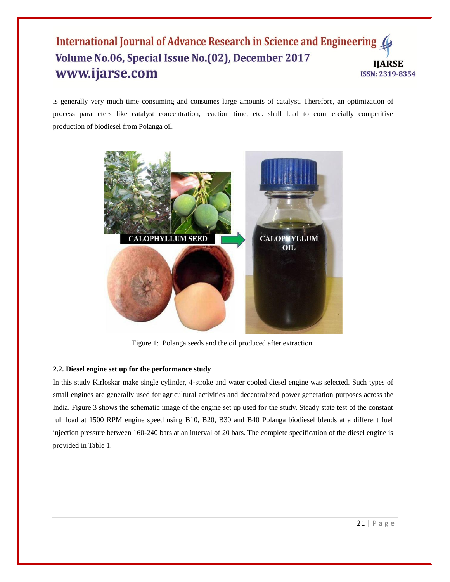is generally very much time consuming and consumes large amounts of catalyst. Therefore, an optimization of process parameters like catalyst concentration, reaction time, etc. shall lead to commercially competitive production of biodiesel from Polanga oil.



Figure 1: Polanga seeds and the oil produced after extraction.

## **2.2. Diesel engine set up for the performance study**

In this study Kirloskar make single cylinder, 4-stroke and water cooled diesel engine was selected. Such types of small engines are generally used for agricultural activities and decentralized power generation purposes across the India. Figure 3 shows the schematic image of the engine set up used for the study. Steady state test of the constant full load at 1500 RPM engine speed using B10, B20, B30 and B40 Polanga biodiesel blends at a different fuel injection pressure between 160-240 bars at an interval of 20 bars. The complete specification of the diesel engine is provided in Table 1.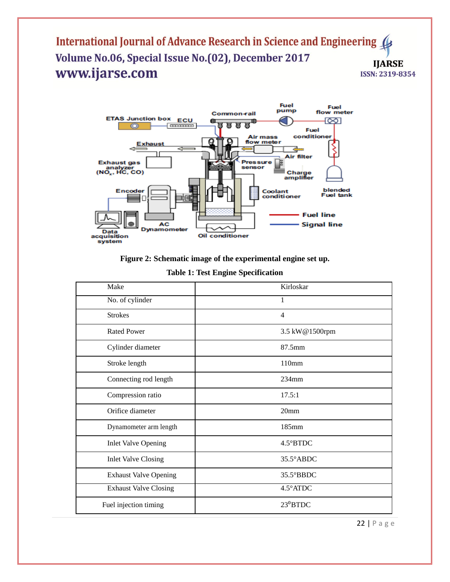

**Figure 2: Schematic image of the experimental engine set up.**

| Make                         | Kirloskar           |
|------------------------------|---------------------|
| No. of cylinder              | 1                   |
| <b>Strokes</b>               | $\overline{4}$      |
| <b>Rated Power</b>           | 3.5 kW@1500rpm      |
| Cylinder diameter            | 87.5mm              |
| Stroke length                | 110mm               |
| Connecting rod length        | $234$ mm            |
| Compression ratio            | 17.5:1              |
| Orifice diameter             | 20 <sub>mm</sub>    |
| Dynamometer arm length       | 185mm               |
| <b>Inlet Valve Opening</b>   | 4.5°BTDC            |
| <b>Inlet Valve Closing</b>   | 35.5°ABDC           |
| <b>Exhaust Valve Opening</b> | $35.5^{\circ}$ BBDC |
| <b>Exhaust Valve Closing</b> | $4.5^\circ$ ATDC    |
| Fuel injection timing        | $23^0$ BTDC         |

22 | P a g e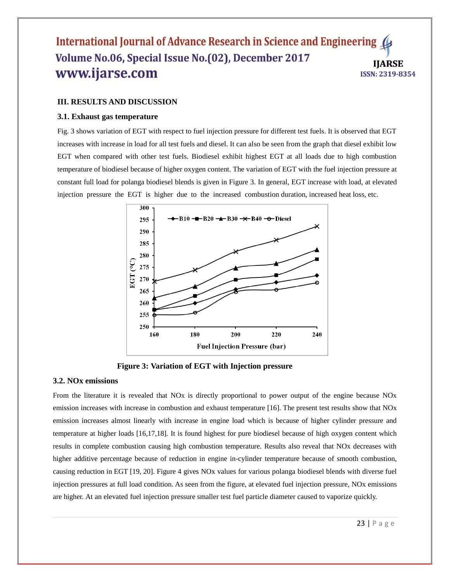#### **III. RESULTS AND DISCUSSION**

#### **3.1. Exhaust gas temperature**

Fig. 3 shows variation of EGT with respect to fuel injection pressure for different test fuels. It is observed that EGT increases with increase in load for all test fuels and diesel. It can also be seen from the graph that diesel exhibit low EGT when compared with other test fuels. Biodiesel exhibit highest EGT at all loads due to high combustion temperature of biodiesel because of higher oxygen content. The variation of EGT with the fuel injection pressure at constant full load for polanga biodiesel blends is given in Figure 3. In general, EGT increase with load, at elevated injection pressure the EGT is higher due to the increased combustion duration, increased heat loss, etc.



**Figure 3: Variation of EGT with Injection pressure**

## **3.2. NOx emissions**

From the literature it is revealed that NOx is directly proportional to power output of the engine because NOx emission increases with increase in combustion and exhaust temperature [16]. The present test results show that NOx emission increases almost linearly with increase in engine load which is because of higher cylinder pressure and temperature at higher loads [16,17,18]. It is found highest for pure biodiesel because of high oxygen content which results in complete combustion causing high combustion temperature. Results also reveal that NOx decreases with higher additive percentage because of reduction in engine in-cylinder temperature because of smooth combustion, causing reduction in EGT [19, 20]. Figure 4 gives NOx values for various polanga biodiesel blends with diverse fuel injection pressures at full load condition. As seen from the figure, at elevated fuel injection pressure, NOx emissions are higher. At an elevated fuel injection pressure smaller test fuel particle diameter caused to vaporize quickly.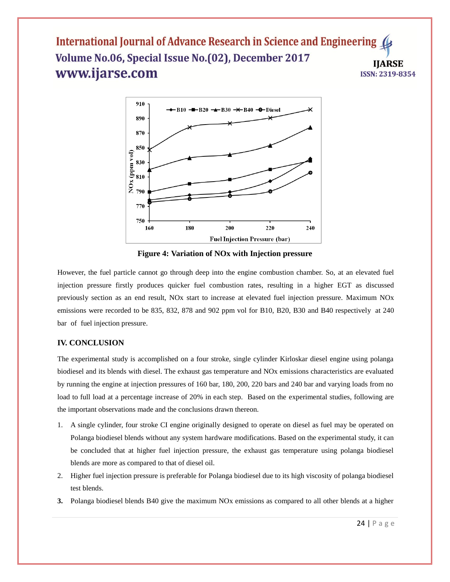

**Figure 4: Variation of NOx with Injection pressure**

However, the fuel particle cannot go through deep into the engine combustion chamber. So, at an elevated fuel injection pressure firstly produces quicker fuel combustion rates, resulting in a higher EGT as discussed previously section as an end result, NOx start to increase at elevated fuel injection pressure. Maximum NOx emissions were recorded to be 835, 832, 878 and 902 ppm vol for B10, B20, B30 and B40 respectively at 240 bar of fuel injection pressure.

## **IV. CONCLUSION**

The experimental study is accomplished on a four stroke, single cylinder Kirloskar diesel engine using polanga biodiesel and its blends with diesel. The exhaust gas temperature and NOx emissions characteristics are evaluated by running the engine at injection pressures of 160 bar, 180, 200, 220 bars and 240 bar and varying loads from no load to full load at a percentage increase of 20% in each step. Based on the experimental studies, following are the important observations made and the conclusions drawn thereon.

- 1. A single cylinder, four stroke CI engine originally designed to operate on diesel as fuel may be operated on Polanga biodiesel blends without any system hardware modifications. Based on the experimental study, it can be concluded that at higher fuel injection pressure, the exhaust gas temperature using polanga biodiesel blends are more as compared to that of diesel oil.
- 2. Higher fuel injection pressure is preferable for Polanga biodiesel due to its high viscosity of polanga biodiesel test blends.
- **3.** Polanga biodiesel blends B40 give the maximum NOx emissions as compared to all other blends at a higher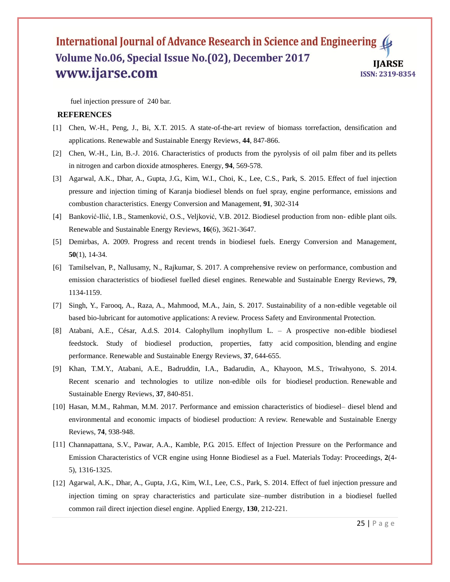fuel injection pressure of 240 bar.

## **REFERENCES**

- [1] Chen, W.-H., Peng, J., Bi, X.T. 2015. A state-of-the-art review of biomass torrefaction, densification and applications. Renewable and Sustainable Energy Reviews, **44**, 847-866.
- [2] Chen, W.-H., Lin, B.-J. 2016. Characteristics of products from the pyrolysis of oil palm fiber and its pellets in nitrogen and carbon dioxide atmospheres. Energy, **94**, 569-578.
- [3] Agarwal, A.K., Dhar, A., Gupta, J.G., Kim, W.I., Choi, K., Lee, C.S., Park, S. 2015. Effect of fuel injection pressure and injection timing of Karanja biodiesel blends on fuel spray, engine performance, emissions and combustion characteristics. Energy Conversion and Management, **91**, 302-314
- [4] Banković-Ilić, I.B., Stamenković, O.S., Veljković, V.B. 2012. Biodiesel production from non- edible plant oils. Renewable and Sustainable Energy Reviews, **16**(6), 3621-3647.
- [5] Demirbas, A. 2009. Progress and recent trends in biodiesel fuels. Energy Conversion and Management, **50**(1), 14-34.
- [6] Tamilselvan, P., Nallusamy, N., Rajkumar, S. 2017. A comprehensive review on performance, combustion and emission characteristics of biodiesel fuelled diesel engines. Renewable and Sustainable Energy Reviews, **79**, 1134-1159.
- [7] Singh, Y., Farooq, A., Raza, A., Mahmood, M.A., Jain, S. 2017. Sustainability of a non-edible vegetable oil based bio-lubricant for automotive applications: A review. Process Safety and Environmental Protection.
- [8] Atabani, A.E., César, A.d.S. 2014. Calophyllum inophyllum L. A prospective non-edible biodiesel feedstock. Study of biodiesel production, properties, fatty acid composition, blending and engine performance. Renewable and Sustainable Energy Reviews, **37**, 644-655.
- [9] Khan, T.M.Y., Atabani, A.E., Badruddin, I.A., Badarudin, A., Khayoon, M.S., Triwahyono, S. 2014. Recent scenario and technologies to utilize non-edible oils for biodiesel production. Renewable and Sustainable Energy Reviews, **37**, 840-851.
- [10] Hasan, M.M., Rahman, M.M. 2017. Performance and emission characteristics of biodiesel– diesel blend and environmental and economic impacts of biodiesel production: A review. Renewable and Sustainable Energy Reviews, **74**, 938-948.
- [11] Channapattana, S.V., Pawar, A.A., Kamble, P.G. 2015. Effect of Injection Pressure on the Performance and Emission Characteristics of VCR engine using Honne Biodiesel as a Fuel. Materials Today: Proceedings, **2**(4- 5), 1316-1325.
- [12] Agarwal, A.K., Dhar, A., Gupta, J.G., Kim, W.I., Lee, C.S., Park, S. 2014. Effect of fuel injection pressure and injection timing on spray characteristics and particulate size–number distribution in a biodiesel fuelled common rail direct injection diesel engine. Applied Energy, **130**, 212-221.